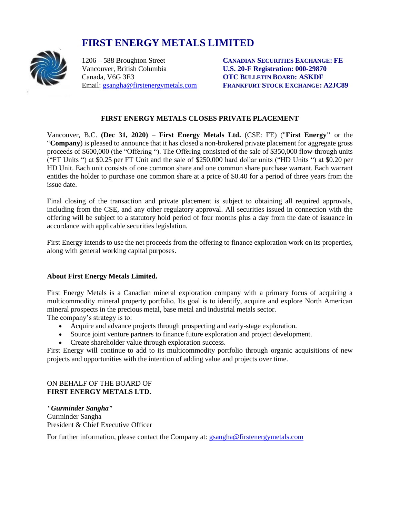# **FIRST ENERGY METALS LIMITED**



Vancouver, British Columbia **U.S. 20-F Registration: 000-29870** Canada, V6G 3E3 **OTC BULLETIN BOARD: ASKDF**

1206 – 588 Broughton Street **CANADIAN SECURITIES EXCHANGE: FE** Email: [gsangha@firstenergymetals.com](mailto:gsangha@firstenergymetals.com) **FRANKFURT STOCK EXCHANGE: A2JC89**

## **FIRST ENERGY METALS CLOSES PRIVATE PLACEMENT**

Vancouver, B.C. **(Dec 31, 2020)** – **First Energy Metals Ltd.** (CSE: FE) ("**First Energy"** or the "**Company**) is pleased to announce that it has closed a non-brokered private placement for aggregate gross proceeds of \$600,000 (the "Offering "). The Offering consisted of the sale of \$350,000 flow-through units ("FT Units ") at \$0.25 per FT Unit and the sale of \$250,000 hard dollar units ("HD Units ") at \$0.20 per HD Unit. Each unit consists of one common share and one common share purchase warrant. Each warrant entitles the holder to purchase one common share at a price of \$0.40 for a period of three years from the issue date.

Final closing of the transaction and private placement is subject to obtaining all required approvals, including from the CSE, and any other regulatory approval. All securities issued in connection with the offering will be subject to a statutory hold period of four months plus a day from the date of issuance in accordance with applicable securities legislation.

First Energy intends to use the net proceeds from the offering to finance exploration work on its properties, along with general working capital purposes.

### **About First Energy Metals Limited.**

First Energy Metals is a Canadian mineral exploration company with a primary focus of acquiring a multicommodity mineral property portfolio. Its goal is to identify, acquire and explore North American mineral prospects in the precious metal, base metal and industrial metals sector.

The company's strategy is to:

- Acquire and advance projects through prospecting and early-stage exploration.
- Source joint venture partners to finance future exploration and project development.
- Create shareholder value through exploration success.

First Energy will continue to add to its multicommodity portfolio through organic acquisitions of new projects and opportunities with the intention of adding value and projects over time.

### ON BEHALF OF THE BOARD OF **FIRST ENERGY METALS LTD.**

*"Gurminder Sangha"* Gurminder Sangha President & Chief Executive Officer

For further information, please contact the Company at: [gsangha@firstenergymetals.com](mailto:gsangha@firstenergymetals.com)